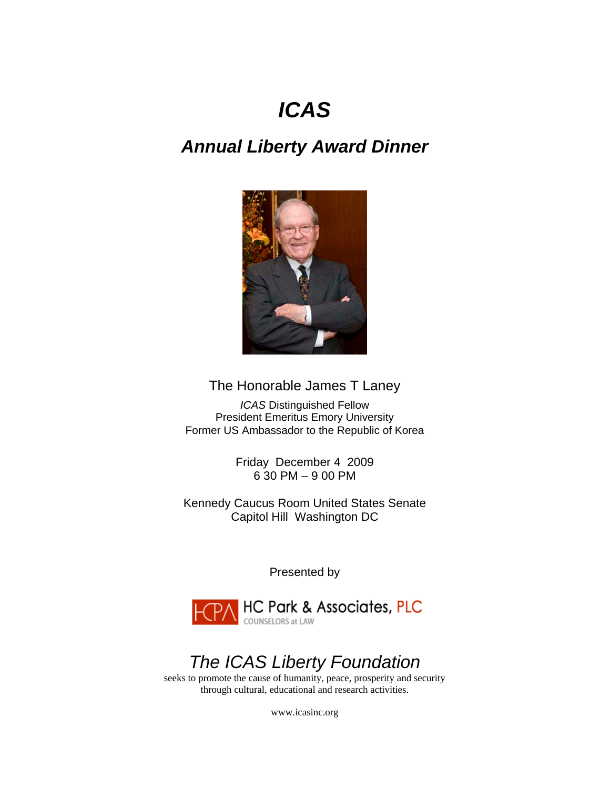# *ICAS*

# *Annual Liberty Award Dinner*



## The Honorable James T Laney

*ICAS* Distinguished Fellow President Emeritus Emory University Former US Ambassador to the Republic of Korea

> Friday December 4 2009 6 30 PM – 9 00 PM

Kennedy Caucus Room United States Senate Capitol Hill Washington DC

Presented by



# *The ICAS Liberty Foundation*

seeks to promote the cause of humanity, peace, prosperity and security through cultural, educational and research activities.

[www.icasinc.org](http://www.icasinc.org/)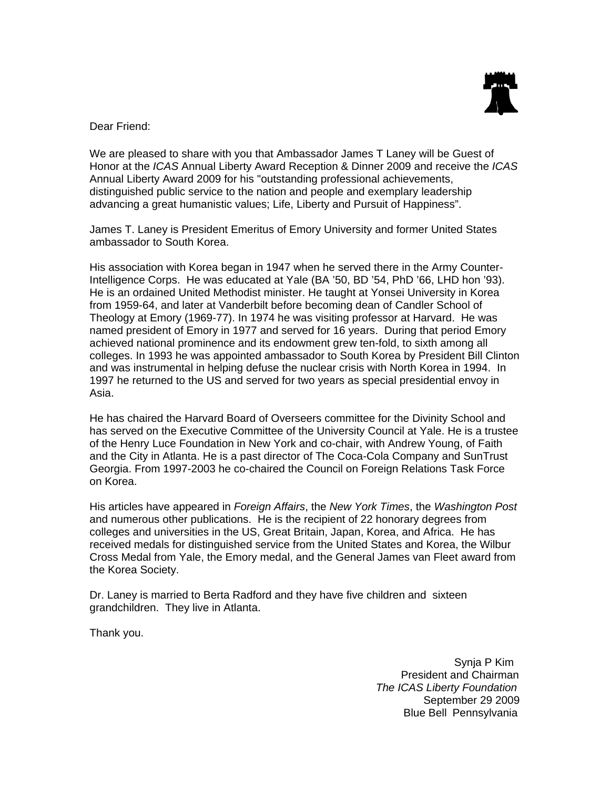

Dear Friend:

We are pleased to share with you that Ambassador James T Laney will be Guest of Honor at the *ICAS* Annual Liberty Award Reception & Dinner 2009 and receive the *ICAS* Annual Liberty Award 2009 for his "outstanding professional achievements, distinguished public service to the nation and people and exemplary leadership advancing a great humanistic values; Life, Liberty and Pursuit of Happiness".

James T. Laney is President Emeritus of Emory University and former United States ambassador to South Korea.

His association with Korea began in 1947 when he served there in the Army Counter-Intelligence Corps. He was educated at Yale (BA '50, BD '54, PhD '66, LHD hon '93). He is an ordained United Methodist minister. He taught at Yonsei University in Korea from 1959-64, and later at Vanderbilt before becoming dean of Candler School of Theology at Emory (1969-77). In 1974 he was visiting professor at Harvard. He was named president of Emory in 1977 and served for 16 years. During that period Emory achieved national prominence and its endowment grew ten-fold, to sixth among all colleges. In 1993 he was appointed ambassador to South Korea by President Bill Clinton and was instrumental in helping defuse the nuclear crisis with North Korea in 1994. In 1997 he returned to the US and served for two years as special presidential envoy in Asia.

He has chaired the Harvard Board of Overseers committee for the Divinity School and has served on the Executive Committee of the University Council at Yale. He is a trustee of the Henry Luce Foundation in New York and co-chair, with Andrew Young, of Faith and the City in Atlanta. He is a past director of The Coca-Cola Company and SunTrust Georgia. From 1997-2003 he co-chaired the Council on Foreign Relations Task Force on Korea.

His articles have appeared in *Foreign Affairs*, the *New York Times*, the *Washington Post* and numerous other publications. He is the recipient of 22 honorary degrees from colleges and universities in the US, Great Britain, Japan, Korea, and Africa. He has received medals for distinguished service from the United States and Korea, the Wilbur Cross Medal from Yale, the Emory medal, and the General James van Fleet award from the Korea Society.

Dr. Laney is married to Berta Radford and they have five children and sixteen grandchildren. They live in Atlanta.

Thank you.

Synja P Kim President and Chairman  *The ICAS Liberty Foundation* September 29 2009 Blue Bell Pennsylvania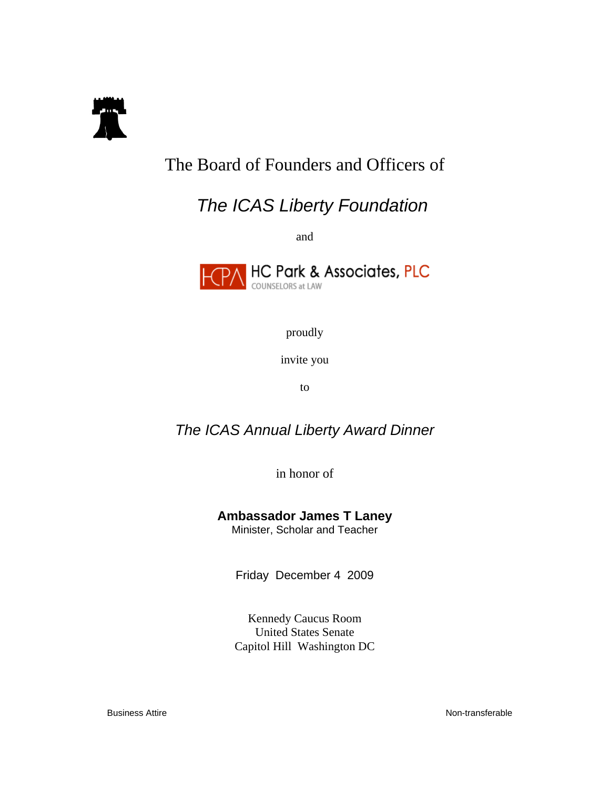

# The Board of Founders and Officers of

# *The ICAS Liberty Foundation*

and



proudly

invite you

to

## *The ICAS Annual Liberty Award Dinner*

in honor of

## **Ambassador James T Laney**

Minister, Scholar and Teacher

Friday December 4 2009

Kennedy Caucus Room United States Senate Capitol Hill Washington DC

Business Attire **Non-transferable**